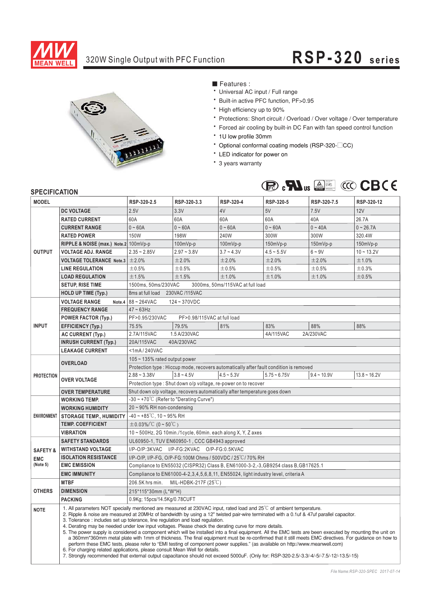

# 320W Single Output with PFC Function **RSP-320 series**



■ Features :

- Universal AC input / Full range
- \* Built-in active PFC function, PF>0.95
- High efficiency up to 90%
- \* Protections: Short circuit / Overload / Over voltage / Over temperature
- \* Forced air cooling by built-in DC Fan with fan speed control function
- 1U low profile 30mm
- \* Optional conformal coating models (RSP-320-<sup>CC</sup>)
- \* LED indicator for power on
- \* 3 years warranty



### **SPECIFICATION**

| יוטוורטוויט⊾ וט<br><b>MODEL</b> |                                                                                                                                                                                                                                                                                                                                                                                                                                                                                                                                                                                                                                                                                                                                                                                                                                                                                                                                                                                                                                                                                                                                                          | RSP-320-2.5                                                                           | RSP-320-3.3                               | <b>RSP-320-4</b> | RSP-320-5      | RSP-320-7.5   | RSP-320-12     |  |  |  |
|---------------------------------|----------------------------------------------------------------------------------------------------------------------------------------------------------------------------------------------------------------------------------------------------------------------------------------------------------------------------------------------------------------------------------------------------------------------------------------------------------------------------------------------------------------------------------------------------------------------------------------------------------------------------------------------------------------------------------------------------------------------------------------------------------------------------------------------------------------------------------------------------------------------------------------------------------------------------------------------------------------------------------------------------------------------------------------------------------------------------------------------------------------------------------------------------------|---------------------------------------------------------------------------------------|-------------------------------------------|------------------|----------------|---------------|----------------|--|--|--|
|                                 | <b>DC VOLTAGE</b>                                                                                                                                                                                                                                                                                                                                                                                                                                                                                                                                                                                                                                                                                                                                                                                                                                                                                                                                                                                                                                                                                                                                        | 2.5V                                                                                  | 3.3V                                      | 4V               | 5V             | 7.5V          | 12V            |  |  |  |
| <b>OUTPUT</b>                   | <b>RATED CURRENT</b>                                                                                                                                                                                                                                                                                                                                                                                                                                                                                                                                                                                                                                                                                                                                                                                                                                                                                                                                                                                                                                                                                                                                     | 60A                                                                                   | 60A                                       | 60A              | 60A            | 40A           | 26.7A          |  |  |  |
|                                 | <b>CURRENT RANGE</b>                                                                                                                                                                                                                                                                                                                                                                                                                                                                                                                                                                                                                                                                                                                                                                                                                                                                                                                                                                                                                                                                                                                                     | $0 - 60A$                                                                             | $0 - 60A$                                 | $0 - 60A$        | $0 - 60A$      | $0 - 40A$     | $0 - 26.7A$    |  |  |  |
|                                 | <b>RATED POWER</b>                                                                                                                                                                                                                                                                                                                                                                                                                                                                                                                                                                                                                                                                                                                                                                                                                                                                                                                                                                                                                                                                                                                                       | <b>150W</b>                                                                           | <b>198W</b>                               | 240W             | 300W           | 300W          | 320.4W         |  |  |  |
|                                 | RIPPLE & NOISE (max.) Note.2 100mVp-p                                                                                                                                                                                                                                                                                                                                                                                                                                                                                                                                                                                                                                                                                                                                                                                                                                                                                                                                                                                                                                                                                                                    |                                                                                       | 100mVp-p                                  | 100mVp-p         | 150mVp-p       | 150mVp-p      | 150mVp-p       |  |  |  |
|                                 | <b>VOLTAGE ADJ. RANGE</b>                                                                                                                                                                                                                                                                                                                                                                                                                                                                                                                                                                                                                                                                                                                                                                                                                                                                                                                                                                                                                                                                                                                                | $2.35 - 2.85V$                                                                        | $2.97 - 3.8V$                             | $3.7 - 4.3V$     | $4.5 - 5.5V$   | $6 - 9V$      | $10 - 13.2V$   |  |  |  |
|                                 | <b>VOLTAGE TOLERANCE Note.3</b>                                                                                                                                                                                                                                                                                                                                                                                                                                                                                                                                                                                                                                                                                                                                                                                                                                                                                                                                                                                                                                                                                                                          | ±2.0%                                                                                 | ±2.0%                                     | ±2.0%            | ±2.0%          | ±2.0%         | ±1.0%          |  |  |  |
|                                 | <b>LINE REGULATION</b>                                                                                                                                                                                                                                                                                                                                                                                                                                                                                                                                                                                                                                                                                                                                                                                                                                                                                                                                                                                                                                                                                                                                   | ±0.5%                                                                                 | ±0.5%                                     | ±0.5%            | ±0.5%          | ±0.5%         | ±0.3%          |  |  |  |
|                                 | <b>LOAD REGULATION</b>                                                                                                                                                                                                                                                                                                                                                                                                                                                                                                                                                                                                                                                                                                                                                                                                                                                                                                                                                                                                                                                                                                                                   | ±1.5%                                                                                 | ±1.5%                                     | ±1.0%            | ±1.0%          | ±1.0%         | ±0.5%          |  |  |  |
|                                 | <b>SETUP, RISE TIME</b>                                                                                                                                                                                                                                                                                                                                                                                                                                                                                                                                                                                                                                                                                                                                                                                                                                                                                                                                                                                                                                                                                                                                  | 1500ms, 50ms/230VAC<br>3000ms, 50ms/115VAC at full load                               |                                           |                  |                |               |                |  |  |  |
|                                 | <b>HOLD UP TIME (Typ.)</b>                                                                                                                                                                                                                                                                                                                                                                                                                                                                                                                                                                                                                                                                                                                                                                                                                                                                                                                                                                                                                                                                                                                               | 230VAC /115VAC<br>8ms at full load                                                    |                                           |                  |                |               |                |  |  |  |
|                                 | <b>VOLTAGE RANGE</b>                                                                                                                                                                                                                                                                                                                                                                                                                                                                                                                                                                                                                                                                                                                                                                                                                                                                                                                                                                                                                                                                                                                                     | Note.4 $88 - 264$ VAC<br>124~370VDC                                                   |                                           |                  |                |               |                |  |  |  |
| <b>INPUT</b>                    | <b>FREQUENCY RANGE</b>                                                                                                                                                                                                                                                                                                                                                                                                                                                                                                                                                                                                                                                                                                                                                                                                                                                                                                                                                                                                                                                                                                                                   | $47 \sim 63$ Hz                                                                       |                                           |                  |                |               |                |  |  |  |
|                                 | <b>POWER FACTOR (Typ.)</b>                                                                                                                                                                                                                                                                                                                                                                                                                                                                                                                                                                                                                                                                                                                                                                                                                                                                                                                                                                                                                                                                                                                               | PF>0.95/230VAC<br>PF>0.98/115VAC at full load                                         |                                           |                  |                |               |                |  |  |  |
|                                 | <b>EFFICIENCY (Typ.)</b>                                                                                                                                                                                                                                                                                                                                                                                                                                                                                                                                                                                                                                                                                                                                                                                                                                                                                                                                                                                                                                                                                                                                 | 75.5%                                                                                 | 79.5%                                     | 81%              | 83%            | 88%           | 88%            |  |  |  |
|                                 | <b>AC CURRENT (Typ.)</b>                                                                                                                                                                                                                                                                                                                                                                                                                                                                                                                                                                                                                                                                                                                                                                                                                                                                                                                                                                                                                                                                                                                                 | 2.7A/115VAC                                                                           | 1.5 A/230VAC                              |                  | 4A/115VAC      | 2A/230VAC     |                |  |  |  |
|                                 | <b>INRUSH CURRENT (Typ.)</b>                                                                                                                                                                                                                                                                                                                                                                                                                                                                                                                                                                                                                                                                                                                                                                                                                                                                                                                                                                                                                                                                                                                             | 20A/115VAC<br>40A/230VAC                                                              |                                           |                  |                |               |                |  |  |  |
|                                 | <b>LEAKAGE CURRENT</b>                                                                                                                                                                                                                                                                                                                                                                                                                                                                                                                                                                                                                                                                                                                                                                                                                                                                                                                                                                                                                                                                                                                                   | <1mA/240VAC                                                                           |                                           |                  |                |               |                |  |  |  |
|                                 | <b>OVERLOAD</b>                                                                                                                                                                                                                                                                                                                                                                                                                                                                                                                                                                                                                                                                                                                                                                                                                                                                                                                                                                                                                                                                                                                                          | $105 - 135\%$ rated output power                                                      |                                           |                  |                |               |                |  |  |  |
|                                 |                                                                                                                                                                                                                                                                                                                                                                                                                                                                                                                                                                                                                                                                                                                                                                                                                                                                                                                                                                                                                                                                                                                                                          | Protection type: Hiccup mode, recovers automatically after fault condition is removed |                                           |                  |                |               |                |  |  |  |
| <b>PROTECTION</b>               | <b>OVER VOLTAGE</b>                                                                                                                                                                                                                                                                                                                                                                                                                                                                                                                                                                                                                                                                                                                                                                                                                                                                                                                                                                                                                                                                                                                                      | $2.88 - 3.38V$                                                                        | $3.8 - 4.5V$                              | $4.5 - 5.3V$     | $5.75 - 6.75V$ | $9.4 - 10.9V$ | $13.8 - 16.2V$ |  |  |  |
|                                 |                                                                                                                                                                                                                                                                                                                                                                                                                                                                                                                                                                                                                                                                                                                                                                                                                                                                                                                                                                                                                                                                                                                                                          | Protection type: Shut down o/p voltage, re-power on to recover                        |                                           |                  |                |               |                |  |  |  |
|                                 | <b>OVER TEMPERATURE</b>                                                                                                                                                                                                                                                                                                                                                                                                                                                                                                                                                                                                                                                                                                                                                                                                                                                                                                                                                                                                                                                                                                                                  | Shut down o/p voltage, recovers automatically after temperature goes down             |                                           |                  |                |               |                |  |  |  |
|                                 | <b>WORKING TEMP.</b>                                                                                                                                                                                                                                                                                                                                                                                                                                                                                                                                                                                                                                                                                                                                                                                                                                                                                                                                                                                                                                                                                                                                     | $-30 \sim +70^{\circ}$ C (Refer to "Derating Curve")                                  |                                           |                  |                |               |                |  |  |  |
|                                 | <b>WORKING HUMIDITY</b>                                                                                                                                                                                                                                                                                                                                                                                                                                                                                                                                                                                                                                                                                                                                                                                                                                                                                                                                                                                                                                                                                                                                  | $20 \sim 90\%$ RH non-condensing                                                      |                                           |                  |                |               |                |  |  |  |
| <b>ENVIRONMENT</b>              | <b>STORAGE TEMP., HUMIDITY</b>                                                                                                                                                                                                                                                                                                                                                                                                                                                                                                                                                                                                                                                                                                                                                                                                                                                                                                                                                                                                                                                                                                                           | $-40 \sim +85^{\circ}$ C, 10 ~ 95% RH                                                 |                                           |                  |                |               |                |  |  |  |
|                                 | <b>TEMP. COEFFICIENT</b>                                                                                                                                                                                                                                                                                                                                                                                                                                                                                                                                                                                                                                                                                                                                                                                                                                                                                                                                                                                                                                                                                                                                 | $\pm$ 0.03%/°C (0~50°C)                                                               |                                           |                  |                |               |                |  |  |  |
|                                 | <b>VIBRATION</b>                                                                                                                                                                                                                                                                                                                                                                                                                                                                                                                                                                                                                                                                                                                                                                                                                                                                                                                                                                                                                                                                                                                                         | 10~500Hz, 2G 10min./1cycle, 60min. each along X, Y, Z axes                            |                                           |                  |                |               |                |  |  |  |
|                                 | <b>SAFETY STANDARDS</b>                                                                                                                                                                                                                                                                                                                                                                                                                                                                                                                                                                                                                                                                                                                                                                                                                                                                                                                                                                                                                                                                                                                                  | UL60950-1, TUV EN60950-1, CCC GB4943 approved                                         |                                           |                  |                |               |                |  |  |  |
| <b>SAFETY &amp;</b>             | <b>WITHSTAND VOLTAGE</b>                                                                                                                                                                                                                                                                                                                                                                                                                                                                                                                                                                                                                                                                                                                                                                                                                                                                                                                                                                                                                                                                                                                                 |                                                                                       | I/P-O/P:3KVAC I/P-FG:2KVAC O/P-FG:0.5KVAC |                  |                |               |                |  |  |  |
| <b>EMC</b>                      | <b>ISOLATION RESISTANCE</b>                                                                                                                                                                                                                                                                                                                                                                                                                                                                                                                                                                                                                                                                                                                                                                                                                                                                                                                                                                                                                                                                                                                              | I/P-O/P, I/P-FG, O/P-FG:100M Ohms / 500VDC / 25°C/70% RH                              |                                           |                  |                |               |                |  |  |  |
| (Note 5)                        | <b>EMC EMISSION</b>                                                                                                                                                                                                                                                                                                                                                                                                                                                                                                                                                                                                                                                                                                                                                                                                                                                                                                                                                                                                                                                                                                                                      | Compliance to EN55032 (CISPR32) Class B, EN61000-3-2,-3, GB9254 class B, GB17625.1    |                                           |                  |                |               |                |  |  |  |
|                                 | <b>EMC IMMUNITY</b>                                                                                                                                                                                                                                                                                                                                                                                                                                                                                                                                                                                                                                                                                                                                                                                                                                                                                                                                                                                                                                                                                                                                      | Compliance to EN61000-4-2,3,4,5,6,8,11, EN55024, light industry level, criteria A     |                                           |                  |                |               |                |  |  |  |
|                                 | <b>MTBF</b>                                                                                                                                                                                                                                                                                                                                                                                                                                                                                                                                                                                                                                                                                                                                                                                                                                                                                                                                                                                                                                                                                                                                              | 206.5K hrs min.<br>MIL-HDBK-217F (25°C)                                               |                                           |                  |                |               |                |  |  |  |
| <b>OTHERS</b>                   | <b>DIMENSION</b>                                                                                                                                                                                                                                                                                                                                                                                                                                                                                                                                                                                                                                                                                                                                                                                                                                                                                                                                                                                                                                                                                                                                         | 215*115*30mm (L*W*H)                                                                  |                                           |                  |                |               |                |  |  |  |
|                                 | <b>PACKING</b>                                                                                                                                                                                                                                                                                                                                                                                                                                                                                                                                                                                                                                                                                                                                                                                                                                                                                                                                                                                                                                                                                                                                           | 0.9Kg; 15pcs/14.5Kg/0.78CUFT                                                          |                                           |                  |                |               |                |  |  |  |
| <b>NOTE</b>                     | 1. All parameters NOT specially mentioned are measured at 230VAC input, rated load and 25 <sup>°</sup> C of ambient temperature.<br>2. Ripple & noise are measured at 20MHz of bandwidth by using a 12" twisted pair-wire terminated with a 0.1uf & 47uf parallel capacitor.<br>3. Tolerance : includes set up tolerance, line regulation and load regulation.<br>4. Derating may be needed under low input voltages. Please check the derating curve for more details.<br>5. The power supply is considered a component which will be installed into a final equipment. All the EMC tests are been executed by mounting the unit on<br>a 360mm*360mm metal plate with 1mm of thickness. The final equipment must be re-confirmed that it still meets EMC directives. For guidance on how to<br>perform these EMC tests, please refer to "EMI testing of component power supplies." (as available on http://www.meanwell.com)<br>6. For charging related applications, please consult Mean Well for details.<br>7. Strongly recommended that external output capacitance should not exceed 5000uF. (Only for: RSP-320-2.5/-3.3/-4/-5/-7.5/-12/-13.5/-15) |                                                                                       |                                           |                  |                |               |                |  |  |  |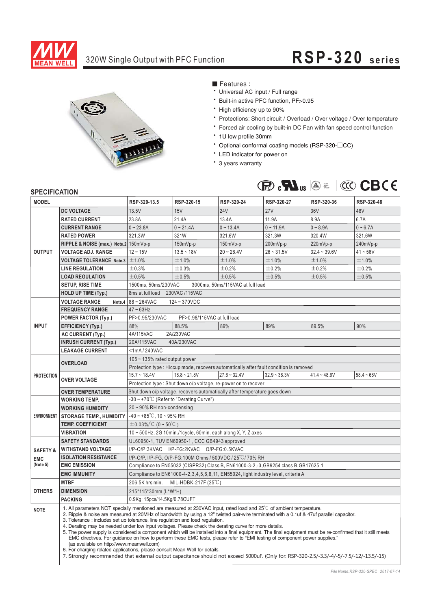

# 320W Single Output with PFC Function **RSP-320 series**



■ Features :

- Universal AC input / Full range
- \* Built-in active PFC function, PF>0.95
- High efficiency up to 90%
- \* Protections: Short circuit / Overload / Over voltage / Over temperature
- \* Forced air cooling by built-in DC Fan with fan speed control function
- 1U low profile 30mm
- \* Optional conformal coating models (RSP-320-<sup>CC</sup>)
- \* LED indicator for power on
- \* 3 years warranty



### **SPECIFICATION**

| <b>MODEL</b>        |                                       | RSP-320-13.5                                                                                                                                                                                                                                                                                                                                                                                                                                                                                                                                                                                                                                                                                                                                                                                                                                                                                                                                                                                                                             | RSP-320-15     | RSP-320-24     | RSP-320-27     | RSP-320-36     | RSP-320-48   |  |  |  |
|---------------------|---------------------------------------|------------------------------------------------------------------------------------------------------------------------------------------------------------------------------------------------------------------------------------------------------------------------------------------------------------------------------------------------------------------------------------------------------------------------------------------------------------------------------------------------------------------------------------------------------------------------------------------------------------------------------------------------------------------------------------------------------------------------------------------------------------------------------------------------------------------------------------------------------------------------------------------------------------------------------------------------------------------------------------------------------------------------------------------|----------------|----------------|----------------|----------------|--------------|--|--|--|
| <b>OUTPUT</b>       | <b>DC VOLTAGE</b>                     | 13.5V                                                                                                                                                                                                                                                                                                                                                                                                                                                                                                                                                                                                                                                                                                                                                                                                                                                                                                                                                                                                                                    | 15V            | <b>24V</b>     | 27V            | 36V            | 48V          |  |  |  |
|                     | <b>RATED CURRENT</b>                  | 23.8A                                                                                                                                                                                                                                                                                                                                                                                                                                                                                                                                                                                                                                                                                                                                                                                                                                                                                                                                                                                                                                    | 21.4A          | 13.4A          | 11.9A          | 8.9A           | 6.7A         |  |  |  |
|                     | <b>CURRENT RANGE</b>                  | $0 - 23.8A$                                                                                                                                                                                                                                                                                                                                                                                                                                                                                                                                                                                                                                                                                                                                                                                                                                                                                                                                                                                                                              | $0 - 21.4A$    | $0 - 13.4A$    | $0 - 11.9A$    | $0 - 8.9A$     | $0 - 6.7A$   |  |  |  |
|                     | <b>RATED POWER</b>                    | 321.3W                                                                                                                                                                                                                                                                                                                                                                                                                                                                                                                                                                                                                                                                                                                                                                                                                                                                                                                                                                                                                                   | 321W           | 321.6W         | 321.3W         | 320.4W         | 321.6W       |  |  |  |
|                     | RIPPLE & NOISE (max.) Note.2 150mVp-p |                                                                                                                                                                                                                                                                                                                                                                                                                                                                                                                                                                                                                                                                                                                                                                                                                                                                                                                                                                                                                                          | 150mVp-p       | 150mVp-p       | 200mVp-p       | 220mVp-p       | 240mVp-p     |  |  |  |
|                     | <b>VOLTAGE ADJ. RANGE</b>             | $12 - 15V$                                                                                                                                                                                                                                                                                                                                                                                                                                                                                                                                                                                                                                                                                                                                                                                                                                                                                                                                                                                                                               | $13.5 - 18V$   | $20 - 26.4V$   | $26 - 31.5V$   | $32.4 - 39.6V$ | $41 - 56V$   |  |  |  |
|                     | <b>VOLTAGE TOLERANCE Note.3</b>       | ±1.0%                                                                                                                                                                                                                                                                                                                                                                                                                                                                                                                                                                                                                                                                                                                                                                                                                                                                                                                                                                                                                                    | ±1.0%          | ±1.0%          | ±1.0%          | ±1.0%          | ±1.0%        |  |  |  |
|                     | <b>LINE REGULATION</b>                | ±0.3%                                                                                                                                                                                                                                                                                                                                                                                                                                                                                                                                                                                                                                                                                                                                                                                                                                                                                                                                                                                                                                    | ±0.3%          | ±0.2%          | ±0.2%          | ±0.2%          | ±0.2%        |  |  |  |
|                     | <b>LOAD REGULATION</b>                | ±0.5%                                                                                                                                                                                                                                                                                                                                                                                                                                                                                                                                                                                                                                                                                                                                                                                                                                                                                                                                                                                                                                    | ±0.5%          | ±0.5%          | ±0.5%          | ±0.5%          | ±0.5%        |  |  |  |
|                     | <b>SETUP, RISE TIME</b>               | 1500ms, 50ms/230VAC<br>3000ms, 50ms/115VAC at full load                                                                                                                                                                                                                                                                                                                                                                                                                                                                                                                                                                                                                                                                                                                                                                                                                                                                                                                                                                                  |                |                |                |                |              |  |  |  |
|                     | <b>HOLD UP TIME (Typ.)</b>            | 8ms at full load<br>230VAC /115VAC                                                                                                                                                                                                                                                                                                                                                                                                                                                                                                                                                                                                                                                                                                                                                                                                                                                                                                                                                                                                       |                |                |                |                |              |  |  |  |
|                     | <b>VOLTAGE RANGE</b><br>Note.4        | 88~264VAC<br>124~370VDC                                                                                                                                                                                                                                                                                                                                                                                                                                                                                                                                                                                                                                                                                                                                                                                                                                                                                                                                                                                                                  |                |                |                |                |              |  |  |  |
| <b>INPUT</b>        | <b>FREQUENCY RANGE</b>                | $47 \sim 63$ Hz                                                                                                                                                                                                                                                                                                                                                                                                                                                                                                                                                                                                                                                                                                                                                                                                                                                                                                                                                                                                                          |                |                |                |                |              |  |  |  |
|                     | <b>POWER FACTOR (Typ.)</b>            | PF>0.95/230VAC<br>PF>0.98/115VAC at full load                                                                                                                                                                                                                                                                                                                                                                                                                                                                                                                                                                                                                                                                                                                                                                                                                                                                                                                                                                                            |                |                |                |                |              |  |  |  |
|                     | <b>EFFICIENCY (Typ.)</b>              | 88%                                                                                                                                                                                                                                                                                                                                                                                                                                                                                                                                                                                                                                                                                                                                                                                                                                                                                                                                                                                                                                      | 88.5%          | 89%            | 89%            | 89.5%          | 90%          |  |  |  |
|                     | AC CURRENT (Typ.)                     | 2A/230VAC<br>4A/115VAC                                                                                                                                                                                                                                                                                                                                                                                                                                                                                                                                                                                                                                                                                                                                                                                                                                                                                                                                                                                                                   |                |                |                |                |              |  |  |  |
|                     | <b>INRUSH CURRENT (Typ.)</b>          | 20A/115VAC<br>40A/230VAC                                                                                                                                                                                                                                                                                                                                                                                                                                                                                                                                                                                                                                                                                                                                                                                                                                                                                                                                                                                                                 |                |                |                |                |              |  |  |  |
|                     | <b>LEAKAGE CURRENT</b>                | $<$ 1mA/240VAC                                                                                                                                                                                                                                                                                                                                                                                                                                                                                                                                                                                                                                                                                                                                                                                                                                                                                                                                                                                                                           |                |                |                |                |              |  |  |  |
|                     | <b>OVERLOAD</b>                       | $105 - 135\%$ rated output power                                                                                                                                                                                                                                                                                                                                                                                                                                                                                                                                                                                                                                                                                                                                                                                                                                                                                                                                                                                                         |                |                |                |                |              |  |  |  |
|                     |                                       | Protection type: Hiccup mode, recovers automatically after fault condition is removed                                                                                                                                                                                                                                                                                                                                                                                                                                                                                                                                                                                                                                                                                                                                                                                                                                                                                                                                                    |                |                |                |                |              |  |  |  |
| <b>PROTECTION</b>   | <b>OVER VOLTAGE</b>                   | $15.7 - 18.4V$                                                                                                                                                                                                                                                                                                                                                                                                                                                                                                                                                                                                                                                                                                                                                                                                                                                                                                                                                                                                                           | $18.8 - 21.8V$ | $27.6 - 32.4V$ | $32.9 - 38.3V$ | $41.4 - 48.6V$ | $58.4 - 68V$ |  |  |  |
|                     |                                       | Protection type : Shut down o/p voltage, re-power on to recover                                                                                                                                                                                                                                                                                                                                                                                                                                                                                                                                                                                                                                                                                                                                                                                                                                                                                                                                                                          |                |                |                |                |              |  |  |  |
|                     | <b>OVER TEMPERATURE</b>               | Shut down o/p voltage, recovers automatically after temperature goes down                                                                                                                                                                                                                                                                                                                                                                                                                                                                                                                                                                                                                                                                                                                                                                                                                                                                                                                                                                |                |                |                |                |              |  |  |  |
| <b>ENVIRONMENT</b>  | <b>WORKING TEMP.</b>                  | $-30 \sim +70^{\circ}$ C (Refer to "Derating Curve")                                                                                                                                                                                                                                                                                                                                                                                                                                                                                                                                                                                                                                                                                                                                                                                                                                                                                                                                                                                     |                |                |                |                |              |  |  |  |
|                     | <b>WORKING HUMIDITY</b>               | 20~90% RH non-condensing                                                                                                                                                                                                                                                                                                                                                                                                                                                                                                                                                                                                                                                                                                                                                                                                                                                                                                                                                                                                                 |                |                |                |                |              |  |  |  |
|                     | <b>STORAGE TEMP., HUMIDITY</b>        | $-40 \sim +85^{\circ}$ C, 10 ~ 95% RH                                                                                                                                                                                                                                                                                                                                                                                                                                                                                                                                                                                                                                                                                                                                                                                                                                                                                                                                                                                                    |                |                |                |                |              |  |  |  |
|                     | <b>TEMP. COEFFICIENT</b>              | $\pm$ 0.03%/°C (0~50°C)                                                                                                                                                                                                                                                                                                                                                                                                                                                                                                                                                                                                                                                                                                                                                                                                                                                                                                                                                                                                                  |                |                |                |                |              |  |  |  |
|                     | <b>VIBRATION</b>                      | 10~500Hz, 2G 10min./1cycle, 60min. each along X, Y, Z axes                                                                                                                                                                                                                                                                                                                                                                                                                                                                                                                                                                                                                                                                                                                                                                                                                                                                                                                                                                               |                |                |                |                |              |  |  |  |
|                     | <b>SAFETY STANDARDS</b>               | UL60950-1, TUV EN60950-1, CCC GB4943 approved                                                                                                                                                                                                                                                                                                                                                                                                                                                                                                                                                                                                                                                                                                                                                                                                                                                                                                                                                                                            |                |                |                |                |              |  |  |  |
| <b>SAFETY &amp;</b> | <b>WITHSTAND VOLTAGE</b>              | I/P-O/P:3KVAC I/P-FG:2KVAC O/P-FG:0.5KVAC                                                                                                                                                                                                                                                                                                                                                                                                                                                                                                                                                                                                                                                                                                                                                                                                                                                                                                                                                                                                |                |                |                |                |              |  |  |  |
| <b>EMC</b>          | <b>ISOLATION RESISTANCE</b>           | I/P-O/P, I/P-FG, O/P-FG:100M Ohms / 500VDC / 25°C/70% RH                                                                                                                                                                                                                                                                                                                                                                                                                                                                                                                                                                                                                                                                                                                                                                                                                                                                                                                                                                                 |                |                |                |                |              |  |  |  |
| (Note 5)            | <b>EMC EMISSION</b>                   | Compliance to EN55032 (CISPR32) Class B, EN61000-3-2,-3, GB9254 class B, GB17625.1                                                                                                                                                                                                                                                                                                                                                                                                                                                                                                                                                                                                                                                                                                                                                                                                                                                                                                                                                       |                |                |                |                |              |  |  |  |
|                     | <b>EMC IMMUNITY</b>                   | Compliance to EN61000-4-2,3,4,5,6,8,11, EN55024, light industry level, criteria A                                                                                                                                                                                                                                                                                                                                                                                                                                                                                                                                                                                                                                                                                                                                                                                                                                                                                                                                                        |                |                |                |                |              |  |  |  |
|                     | <b>MTBF</b>                           | MIL-HDBK-217F (25°C)<br>206.5K hrs min.                                                                                                                                                                                                                                                                                                                                                                                                                                                                                                                                                                                                                                                                                                                                                                                                                                                                                                                                                                                                  |                |                |                |                |              |  |  |  |
| <b>OTHERS</b>       | <b>DIMENSION</b>                      | 215*115*30mm (L*W*H)                                                                                                                                                                                                                                                                                                                                                                                                                                                                                                                                                                                                                                                                                                                                                                                                                                                                                                                                                                                                                     |                |                |                |                |              |  |  |  |
|                     | <b>PACKING</b>                        | 0.9Kg; 15pcs/14.5Kg/0.78CUFT                                                                                                                                                                                                                                                                                                                                                                                                                                                                                                                                                                                                                                                                                                                                                                                                                                                                                                                                                                                                             |                |                |                |                |              |  |  |  |
| <b>NOTE</b>         |                                       | 1. All parameters NOT specially mentioned are measured at 230VAC input, rated load and $25^{\circ}$ C of ambient temperature.<br>2. Ripple & noise are measured at 20MHz of bandwidth by using a 12" twisted pair-wire terminated with a 0.1uf & 47uf parallel capacitor.<br>3. Tolerance : includes set up tolerance, line regulation and load regulation.<br>4. Derating may be needed under low input voltages. Please check the derating curve for more details.<br>5. The power supply is considered a component which will be installed into a final equipment. The final equipment must be re-confirmed that it still meets<br>EMC directives. For quidance on how to perform these EMC tests, please refer to "EMI testing of component power supplies."<br>(as available on http://www.meanwell.com)<br>6. For charging related applications, please consult Mean Well for details.<br>7. Strongly recommended that external output capacitance should not exceed 5000uF. (Only for: RSP-320-2.5/-3.3/-4/-5/-7.5/-12/-13.5/-15) |                |                |                |                |              |  |  |  |